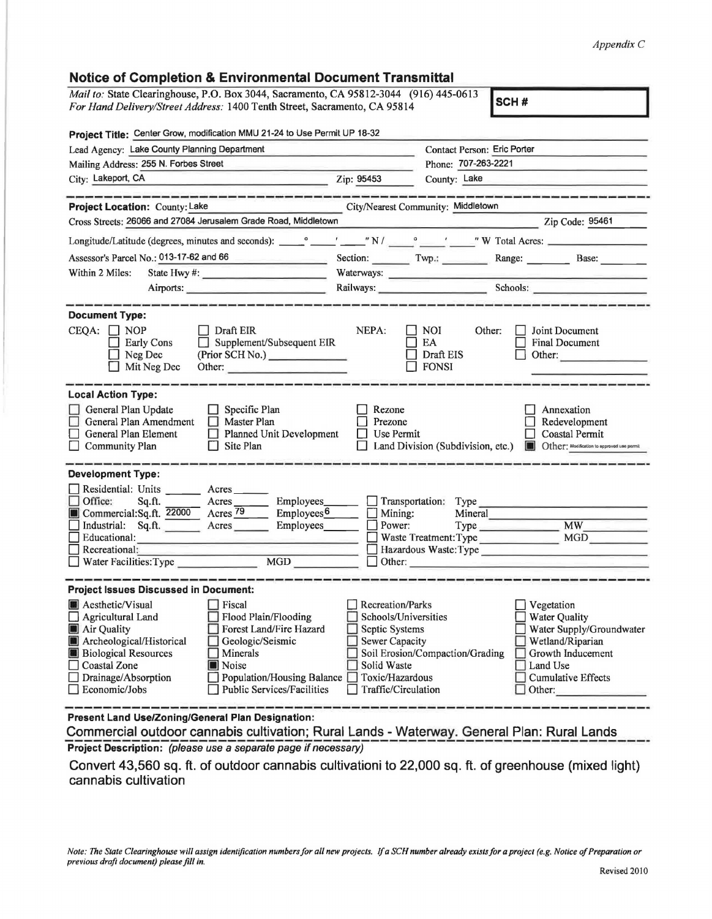## *Appendix C*

| <b>Notice of Completion &amp; Environmental Document Transmittal</b>                    |                                                          |                                                                                                                                                                                                                                                                                                                                                                                                                                                                                 |
|-----------------------------------------------------------------------------------------|----------------------------------------------------------|---------------------------------------------------------------------------------------------------------------------------------------------------------------------------------------------------------------------------------------------------------------------------------------------------------------------------------------------------------------------------------------------------------------------------------------------------------------------------------|
| Mail to: State Clearinghouse, P.O. Box 3044, Sacramento, CA 95812-3044 (916) 445-0613   |                                                          | SCH#                                                                                                                                                                                                                                                                                                                                                                                                                                                                            |
| For Hand Delivery/Street Address: 1400 Tenth Street, Sacramento, CA 95814               |                                                          |                                                                                                                                                                                                                                                                                                                                                                                                                                                                                 |
| Project Title: Center Grow, modification MMU 21-24 to Use Permit UP 18-32               |                                                          |                                                                                                                                                                                                                                                                                                                                                                                                                                                                                 |
|                                                                                         |                                                          |                                                                                                                                                                                                                                                                                                                                                                                                                                                                                 |
| Lead Agency: Lake County Planning Department                                            | Phone: 707-263-2221                                      | Contact Person: Eric Porter                                                                                                                                                                                                                                                                                                                                                                                                                                                     |
| Mailing Address: 255 N. Forbes Street<br>City: Lakeport, CA                             |                                                          |                                                                                                                                                                                                                                                                                                                                                                                                                                                                                 |
|                                                                                         | Zip: 95453<br>County: Lake                               |                                                                                                                                                                                                                                                                                                                                                                                                                                                                                 |
| Project Location: County: Lake                                                          | City/Nearest Community: Middletown                       |                                                                                                                                                                                                                                                                                                                                                                                                                                                                                 |
| Cross Streets: 26066 and 27084 Jerusalem Grade Road, Middletown                         |                                                          | $\overline{\phantom{a}}$ $\overline{\phantom{a}}$ $\overline{\phantom{a}}$ $\overline{\phantom{a}}$ $\overline{\phantom{a}}$ $\overline{\phantom{a}}$ $\overline{\phantom{a}}$ $\overline{\phantom{a}}$ $\overline{\phantom{a}}$ $\overline{\phantom{a}}$ $\overline{\phantom{a}}$ $\overline{\phantom{a}}$ $\overline{\phantom{a}}$ $\overline{\phantom{a}}$ $\overline{\phantom{a}}$ $\overline{\phantom{a}}$ $\overline{\phantom{a}}$ $\overline{\phantom{a}}$ $\overline{\$ |
|                                                                                         |                                                          |                                                                                                                                                                                                                                                                                                                                                                                                                                                                                 |
|                                                                                         |                                                          |                                                                                                                                                                                                                                                                                                                                                                                                                                                                                 |
| Assessor's Parcel No.: 013-17-62 and 66                                                 |                                                          | Section: Twp.: Range: Base:                                                                                                                                                                                                                                                                                                                                                                                                                                                     |
| Within 2 Miles:                                                                         | Waterways:                                               |                                                                                                                                                                                                                                                                                                                                                                                                                                                                                 |
| Airports:                                                                               |                                                          | Railways: Schools: Schools:                                                                                                                                                                                                                                                                                                                                                                                                                                                     |
| <b>Document Type:</b>                                                                   |                                                          |                                                                                                                                                                                                                                                                                                                                                                                                                                                                                 |
| $CEQA: \Box NOP$<br>  Draft EIR                                                         | NEPA:<br><b>NOI</b>                                      | <b>Joint Document</b><br>Other:                                                                                                                                                                                                                                                                                                                                                                                                                                                 |
| <b>Early Cons</b><br>Supplement/Subsequent EIR                                          | EA                                                       | <b>Final Document</b>                                                                                                                                                                                                                                                                                                                                                                                                                                                           |
| Neg Dec<br>(Prior SCH No.)                                                              | Draft EIS                                                | Other:                                                                                                                                                                                                                                                                                                                                                                                                                                                                          |
| Mit Neg Dec<br>Other:                                                                   | <b>FONSI</b>                                             |                                                                                                                                                                                                                                                                                                                                                                                                                                                                                 |
|                                                                                         |                                                          |                                                                                                                                                                                                                                                                                                                                                                                                                                                                                 |
| <b>Local Action Type:</b>                                                               |                                                          |                                                                                                                                                                                                                                                                                                                                                                                                                                                                                 |
| General Plan Update<br>$\Box$ Specific Plan<br>$\Box$ Master Plan                       | Rezone                                                   | Annexation                                                                                                                                                                                                                                                                                                                                                                                                                                                                      |
| General Plan Amendment<br>General Plan Element<br>Planned Unit Development              | Prezone<br>Use Permit<br>H                               | Redevelopment<br>Coastal Permit                                                                                                                                                                                                                                                                                                                                                                                                                                                 |
| Community Plan<br>Site Plan                                                             |                                                          | Land Division (Subdivision, etc.) <b>In Other:</b> Modification to approved use permit                                                                                                                                                                                                                                                                                                                                                                                          |
|                                                                                         |                                                          |                                                                                                                                                                                                                                                                                                                                                                                                                                                                                 |
| <b>Development Type:</b>                                                                |                                                          |                                                                                                                                                                                                                                                                                                                                                                                                                                                                                 |
| Residential: Units _______ Acres _____                                                  |                                                          |                                                                                                                                                                                                                                                                                                                                                                                                                                                                                 |
| Office:<br>Employees_____<br>Sq.ft.<br>$Arcres$ <sub>_______</sub>                      | Transportation: Type                                     |                                                                                                                                                                                                                                                                                                                                                                                                                                                                                 |
| Commercial:Sq.ft. 22000 Acres 79<br>$\equiv$ Employees $6$                              | $\Box$ Mining:                                           | Mineral                                                                                                                                                                                                                                                                                                                                                                                                                                                                         |
| Industrial: Sq.ft. Acres<br>Employees________<br>Educational:                           | Power:<br>Waste Treatment: Type                          | <b>MW</b><br>MGD                                                                                                                                                                                                                                                                                                                                                                                                                                                                |
| Recreational:                                                                           | Hazardous Waste: Type                                    |                                                                                                                                                                                                                                                                                                                                                                                                                                                                                 |
| <b>MGD</b><br>$\Box$ Water Facilities: Type                                             | $\Box$ Other:                                            |                                                                                                                                                                                                                                                                                                                                                                                                                                                                                 |
|                                                                                         |                                                          |                                                                                                                                                                                                                                                                                                                                                                                                                                                                                 |
| <b>Project Issues Discussed in Document:</b>                                            |                                                          |                                                                                                                                                                                                                                                                                                                                                                                                                                                                                 |
| <b>Aesthetic/Visual</b><br>Fiscal                                                       | Recreation/Parks                                         | Vegetation                                                                                                                                                                                                                                                                                                                                                                                                                                                                      |
| Agricultural Land<br>Flood Plain/Flooding                                               | Schools/Universities                                     | <b>Water Quality</b>                                                                                                                                                                                                                                                                                                                                                                                                                                                            |
| Forest Land/Fire Hazard<br>Air Quality                                                  | Septic Systems                                           | Water Supply/Groundwater                                                                                                                                                                                                                                                                                                                                                                                                                                                        |
| Archeological/Historical<br>Geologic/Seismic<br><b>Biological Resources</b><br>Minerals | <b>Sewer Capacity</b><br>Soil Erosion/Compaction/Grading | Wetland/Riparian<br>Growth Inducement                                                                                                                                                                                                                                                                                                                                                                                                                                           |
| <b>Coastal Zone</b><br>Noise                                                            | Solid Waste                                              | Land Use                                                                                                                                                                                                                                                                                                                                                                                                                                                                        |
| Drainage/Absorption<br>Population/Housing Balance                                       | Toxic/Hazardous                                          | <b>Cumulative Effects</b>                                                                                                                                                                                                                                                                                                                                                                                                                                                       |
| Economic/Jobs<br><b>Public Services/Facilities</b>                                      | Traffic/Circulation                                      | Other:                                                                                                                                                                                                                                                                                                                                                                                                                                                                          |
|                                                                                         |                                                          |                                                                                                                                                                                                                                                                                                                                                                                                                                                                                 |
| Present Land Use/Zoning/General Plan Designation:                                       |                                                          |                                                                                                                                                                                                                                                                                                                                                                                                                                                                                 |

 $\frac{1}{2}$ 

 $\sim$ 

**Commercial outdoor cannabis cultivation; Rural Lands - Waterway. General Plan: Rural Lands \_\_\_ \_ Project Description:** (please use a separate page if necessary)

**Convert 43,560 sq. ft. of outdoor cannabis cultivationi to 22,000 sq. ft. of greenhouse (mixed light) cannabis cultivation**